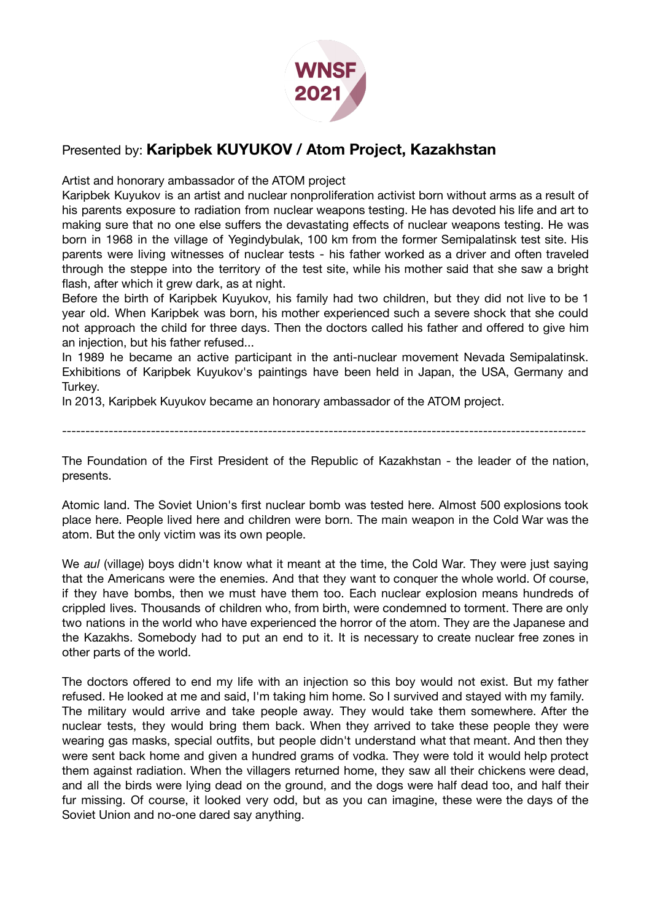

## Presented by: **Karipbek KUYUKOV / Atom Project, Kazakhstan**

Artist and honorary ambassador of the ATOM project

Karipbek Kuyukov is an artist and nuclear nonproliferation activist born without arms as a result of his parents exposure to radiation from nuclear weapons testing. He has devoted his life and art to making sure that no one else suffers the devastating effects of nuclear weapons testing. He was born in 1968 in the village of Yegindybulak, 100 km from the former Semipalatinsk test site. His parents were living witnesses of nuclear tests - his father worked as a driver and often traveled through the steppe into the territory of the test site, while his mother said that she saw a bright flash, after which it grew dark, as at night.

Before the birth of Karipbek Kuyukov, his family had two children, but they did not live to be 1 year old. When Karipbek was born, his mother experienced such a severe shock that she could not approach the child for three days. Then the doctors called his father and offered to give him an injection, but his father refused...

In 1989 he became an active participant in the anti-nuclear movement Nevada Semipalatinsk. Exhibitions of Karipbek Kuyukov's paintings have been held in Japan, the USA, Germany and Turkey.

In 2013, Karipbek Kuyukov became an honorary ambassador of the ATOM project.

----------------------------------------------------------------------------------------------------------------

The Foundation of the First President of the Republic of Kazakhstan - the leader of the nation, presents.

Atomic land. The Soviet Union's first nuclear bomb was tested here. Almost 500 explosions took place here. People lived here and children were born. The main weapon in the Cold War was the atom. But the only victim was its own people.

We *aul* (village) boys didn't know what it meant at the time, the Cold War. They were just saying that the Americans were the enemies. And that they want to conquer the whole world. Of course, if they have bombs, then we must have them too. Each nuclear explosion means hundreds of crippled lives. Thousands of children who, from birth, were condemned to torment. There are only two nations in the world who have experienced the horror of the atom. They are the Japanese and the Kazakhs. Somebody had to put an end to it. It is necessary to create nuclear free zones in other parts of the world.

The doctors offered to end my life with an injection so this boy would not exist. But my father refused. He looked at me and said, I'm taking him home. So I survived and stayed with my family. The military would arrive and take people away. They would take them somewhere. After the nuclear tests, they would bring them back. When they arrived to take these people they were wearing gas masks, special outfits, but people didn't understand what that meant. And then they were sent back home and given a hundred grams of vodka. They were told it would help protect them against radiation. When the villagers returned home, they saw all their chickens were dead, and all the birds were lying dead on the ground, and the dogs were half dead too, and half their fur missing. Of course, it looked very odd, but as you can imagine, these were the days of the Soviet Union and no-one dared say anything.